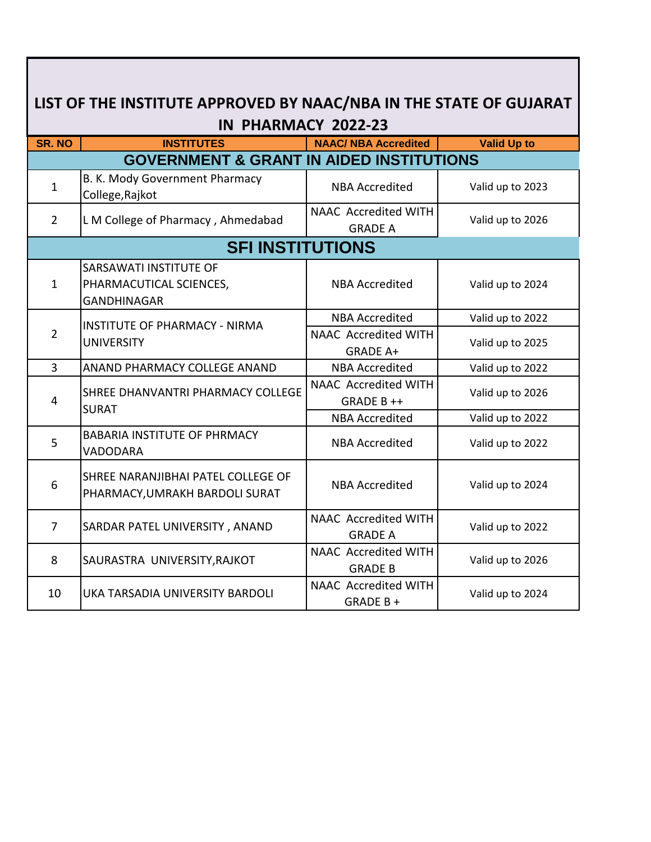| LIST OF THE INSTITUTE APPROVED BY NAAC/NBA IN THE STATE OF GUJARAT<br>IN PHARMACY 2022-23 |                                                                         |                                                |                    |  |
|-------------------------------------------------------------------------------------------|-------------------------------------------------------------------------|------------------------------------------------|--------------------|--|
| <b>SR. NO</b>                                                                             | <b>INSTITUTES</b>                                                       | <b>NAAC/ NBA Accredited</b>                    | <b>Valid Up to</b> |  |
|                                                                                           | <b>GOVERNMENT &amp; GRANT IN AIDED INSTITUTIONS</b>                     |                                                |                    |  |
| $\mathbf{1}$                                                                              | B. K. Mody Government Pharmacy<br>College, Rajkot                       | <b>NBA Accredited</b>                          | Valid up to 2023   |  |
| $\overline{2}$                                                                            | L M College of Pharmacy, Ahmedabad                                      | <b>NAAC Accredited WITH</b><br><b>GRADE A</b>  | Valid up to 2026   |  |
|                                                                                           | <b>SFI INSTITUTIONS</b>                                                 |                                                |                    |  |
| $\mathbf{1}$                                                                              | SARSAWATI INSTITUTE OF<br>PHARMACUTICAL SCIENCES,<br><b>GANDHINAGAR</b> | <b>NBA Accredited</b>                          | Valid up to 2024   |  |
| $\overline{2}$                                                                            | <b>INSTITUTE OF PHARMACY - NIRMA</b><br><b>UNIVERSITY</b>               | <b>NBA Accredited</b>                          | Valid up to 2022   |  |
|                                                                                           |                                                                         | <b>NAAC Accredited WITH</b><br><b>GRADE A+</b> | Valid up to 2025   |  |
| $\overline{3}$                                                                            | ANAND PHARMACY COLLEGE ANAND                                            | <b>NBA Accredited</b>                          | Valid up to 2022   |  |
| 4                                                                                         | SHREE DHANVANTRI PHARMACY COLLEGE<br><b>SURAT</b>                       | <b>NAAC Accredited WITH</b><br>GRADE B++       | Valid up to 2026   |  |
|                                                                                           |                                                                         | <b>NBA Accredited</b>                          | Valid up to 2022   |  |
| 5                                                                                         | <b>BABARIA INSTITUTE OF PHRMACY</b><br>VADODARA                         | <b>NBA Accredited</b>                          | Valid up to 2022   |  |
| 6                                                                                         | SHREE NARANJIBHAI PATEL COLLEGE OF<br>PHARMACY, UMRAKH BARDOLI SURAT    | <b>NBA Accredited</b>                          | Valid up to 2024   |  |
| $\overline{7}$                                                                            | SARDAR PATEL UNIVERSITY, ANAND                                          | <b>NAAC Accredited WITH</b><br><b>GRADE A</b>  | Valid up to 2022   |  |
| 8                                                                                         | SAURASTRA UNIVERSITY, RAJKOT                                            | <b>NAAC Accredited WITH</b><br><b>GRADE B</b>  | Valid up to 2026   |  |
| 10                                                                                        | UKA TARSADIA UNIVERSITY BARDOLI                                         | NAAC Accredited WITH<br>GRADE B+               | Valid up to 2024   |  |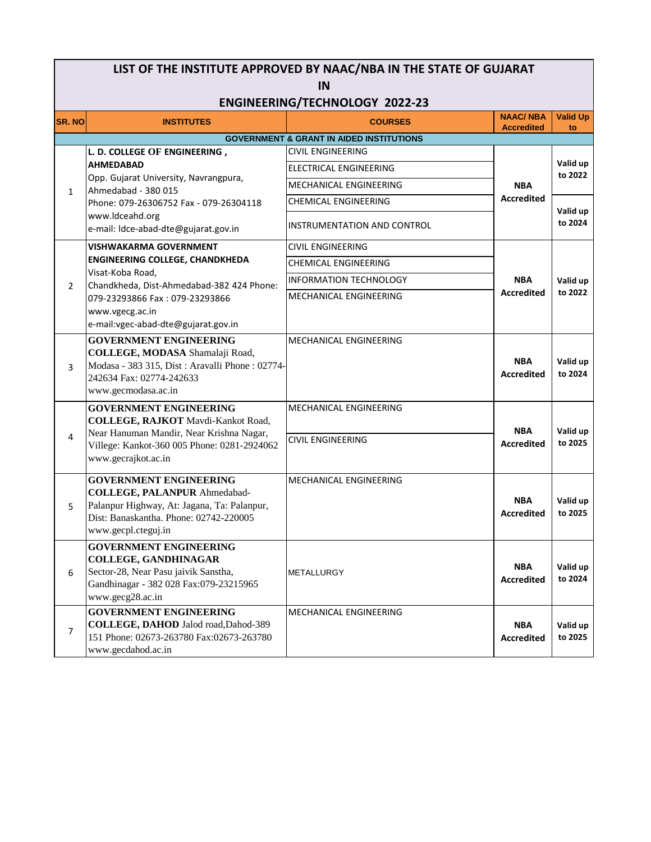| LIST OF THE INSTITUTE APPROVED BY NAAC/NBA IN THE STATE OF GUJARAT |                                                                                                                                                                                                                        |                                                     |                                      |                       |  |  |
|--------------------------------------------------------------------|------------------------------------------------------------------------------------------------------------------------------------------------------------------------------------------------------------------------|-----------------------------------------------------|--------------------------------------|-----------------------|--|--|
| IN                                                                 |                                                                                                                                                                                                                        |                                                     |                                      |                       |  |  |
| <b>ENGINEERING/TECHNOLOGY 2022-23</b>                              |                                                                                                                                                                                                                        |                                                     |                                      |                       |  |  |
| <b>SR. NO</b>                                                      | <b>INSTITUTES</b>                                                                                                                                                                                                      | <b>COURSES</b>                                      | <b>NAAC/NBA</b><br><b>Accredited</b> | <b>Valid Up</b><br>to |  |  |
|                                                                    |                                                                                                                                                                                                                        | <b>GOVERNMENT &amp; GRANT IN AIDED INSTITUTIONS</b> |                                      |                       |  |  |
|                                                                    | L. D. COLLEGE OF ENGINEERING,<br><b>AHMEDABAD</b><br>Opp. Gujarat University, Navrangpura,<br>Ahmedabad - 380 015<br>Phone: 079-26306752 Fax - 079-26304118<br>www.ldceahd.org<br>e-mail: Idce-abad-dte@gujarat.gov.in | <b>CIVIL ENGINEERING</b>                            | <b>NBA</b><br><b>Accredited</b>      | Valid up<br>to 2022   |  |  |
|                                                                    |                                                                                                                                                                                                                        | ELECTRICAL ENGINEERING                              |                                      |                       |  |  |
| $\mathbf{1}$                                                       |                                                                                                                                                                                                                        | MECHANICAL ENGINEERING                              |                                      |                       |  |  |
|                                                                    |                                                                                                                                                                                                                        | CHEMICAL ENGINEERING                                |                                      | Valid up<br>to 2024   |  |  |
|                                                                    |                                                                                                                                                                                                                        | INSTRUMENTATION AND CONTROL                         |                                      |                       |  |  |
|                                                                    | VISHWAKARMA GOVERNMENT                                                                                                                                                                                                 | <b>CIVIL ENGINEERING</b>                            |                                      |                       |  |  |
|                                                                    | <b>ENGINEERING COLLEGE, CHANDKHEDA</b>                                                                                                                                                                                 | <b>CHEMICAL ENGINEERING</b>                         |                                      |                       |  |  |
| $\overline{2}$                                                     | Visat-Koba Road,<br>Chandkheda, Dist-Ahmedabad-382 424 Phone:                                                                                                                                                          | <b>INFORMATION TECHNOLOGY</b>                       | <b>NBA</b><br><b>Accredited</b>      | Valid up<br>to 2022   |  |  |
|                                                                    | 079-23293866 Fax: 079-23293866                                                                                                                                                                                         | MECHANICAL ENGINEERING                              |                                      |                       |  |  |
|                                                                    | www.vgecg.ac.in                                                                                                                                                                                                        |                                                     |                                      |                       |  |  |
|                                                                    | e-mail: vgec-abad-dte@gujarat.gov.in                                                                                                                                                                                   |                                                     |                                      |                       |  |  |
|                                                                    | <b>GOVERNMENT ENGINEERING</b>                                                                                                                                                                                          | MECHANICAL ENGINEERING                              |                                      |                       |  |  |
| 3                                                                  | COLLEGE, MODASA Shamalaji Road,<br>Modasa - 383 315, Dist : Aravalli Phone : 02774-                                                                                                                                    |                                                     | <b>NBA</b>                           | Valid up              |  |  |
|                                                                    | 242634 Fax: 02774-242633                                                                                                                                                                                               |                                                     | <b>Accredited</b>                    | to 2024               |  |  |
|                                                                    | www.gecmodasa.ac.in                                                                                                                                                                                                    |                                                     |                                      |                       |  |  |
|                                                                    | <b>GOVERNMENT ENGINEERING</b>                                                                                                                                                                                          | MECHANICAL ENGINEERING                              |                                      |                       |  |  |
|                                                                    | <b>COLLEGE, RAJKOT</b> Mavdi-Kankot Road,                                                                                                                                                                              |                                                     | <b>NBA</b>                           | Valid up              |  |  |
| 4                                                                  | Near Hanuman Mandir, Near Krishna Nagar,<br>Villege: Kankot-360 005 Phone: 0281-2924062                                                                                                                                | <b>CIVIL ENGINEERING</b>                            | <b>Accredited</b>                    | to 2025               |  |  |
|                                                                    | www.gecrajkot.ac.in                                                                                                                                                                                                    |                                                     |                                      |                       |  |  |
|                                                                    | <b>GOVERNMENT ENGINEERING</b>                                                                                                                                                                                          | MECHANICAL ENGINEERING                              |                                      |                       |  |  |
|                                                                    | <b>COLLEGE, PALANPUR Ahmedabad-</b>                                                                                                                                                                                    |                                                     |                                      |                       |  |  |
| 5                                                                  | Palanpur Highway, At: Jagana, Ta: Palanpur,                                                                                                                                                                            |                                                     | <b>NBA</b>                           | Valid up<br>to 2025   |  |  |
|                                                                    | Dist: Banaskantha. Phone: 02742-220005                                                                                                                                                                                 |                                                     | <b>Accredited</b>                    |                       |  |  |
|                                                                    | www.gecpl.cteguj.in                                                                                                                                                                                                    |                                                     |                                      |                       |  |  |
|                                                                    | <b>GOVERNMENT ENGINEERING</b><br><b>COLLEGE, GANDHINAGAR</b>                                                                                                                                                           |                                                     |                                      |                       |  |  |
| 6                                                                  | Sector-28, Near Pasu jaivik Sanstha,                                                                                                                                                                                   | <b>METALLURGY</b>                                   | <b>NBA</b>                           | Valid up              |  |  |
|                                                                    | Gandhinagar - 382 028 Fax:079-23215965                                                                                                                                                                                 |                                                     | <b>Accredited</b>                    | to 2024               |  |  |
|                                                                    | www.gecg28.ac.in                                                                                                                                                                                                       |                                                     |                                      |                       |  |  |
| 7                                                                  | <b>GOVERNMENT ENGINEERING</b><br>COLLEGE, DAHOD Jalod road, Dahod-389                                                                                                                                                  | MECHANICAL ENGINEERING                              | <b>NBA</b>                           | Valid up              |  |  |
|                                                                    | 151 Phone: 02673-263780 Fax:02673-263780                                                                                                                                                                               |                                                     | <b>Accredited</b>                    | to 2025               |  |  |
|                                                                    | www.gecdahod.ac.in                                                                                                                                                                                                     |                                                     |                                      |                       |  |  |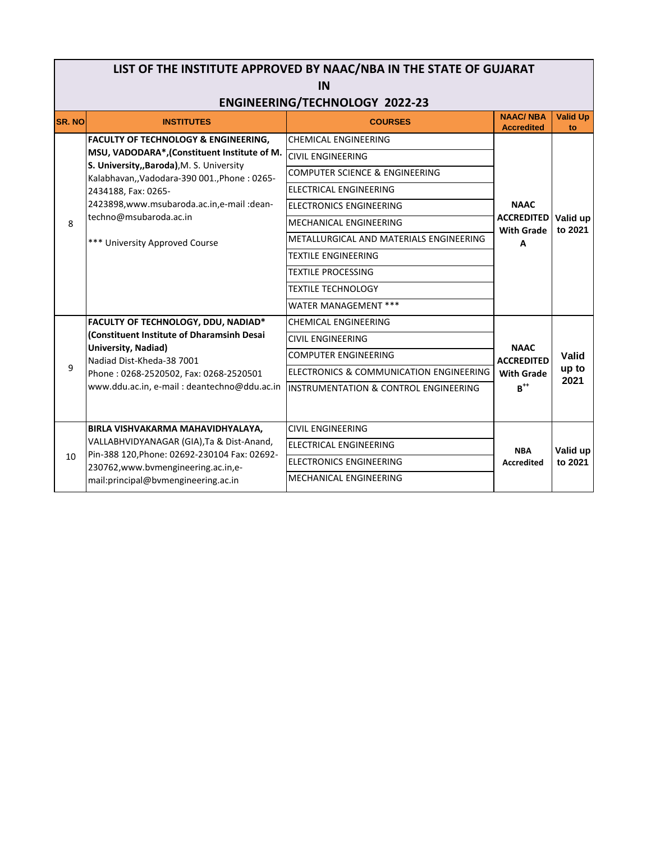| LIST OF THE INSTITUTE APPROVED BY NAAC/NBA IN THE STATE OF GUJARAT<br>IN |                                                                                                                                                                                                                                                                                                                               |                                                                                                                                                                                                                                                                                                                                                              |                                                                          |                        |  |
|--------------------------------------------------------------------------|-------------------------------------------------------------------------------------------------------------------------------------------------------------------------------------------------------------------------------------------------------------------------------------------------------------------------------|--------------------------------------------------------------------------------------------------------------------------------------------------------------------------------------------------------------------------------------------------------------------------------------------------------------------------------------------------------------|--------------------------------------------------------------------------|------------------------|--|
| <b>ENGINEERING/TECHNOLOGY 2022-23</b>                                    |                                                                                                                                                                                                                                                                                                                               |                                                                                                                                                                                                                                                                                                                                                              |                                                                          |                        |  |
| <b>SR. NO</b>                                                            | <b>INSTITUTES</b>                                                                                                                                                                                                                                                                                                             | <b>COURSES</b>                                                                                                                                                                                                                                                                                                                                               | <b>NAAC/NBA</b><br><b>Accredited</b>                                     | <b>Valid Up</b><br>to  |  |
| 8                                                                        | <b>FACULTY OF TECHNOLOGY &amp; ENGINEERING,</b><br>MSU, VADODARA*,(Constituent Institute of M.<br>S. University,, Baroda), M. S. University<br>Kalabhavan,, Vadodara-390 001., Phone: 0265-<br>2434188, Fax: 0265-<br>2423898, www.msubaroda.ac.in, e-mail: dean-<br>techno@msubaroda.ac.in<br>*** University Approved Course | <b>CHEMICAL ENGINEERING</b><br><b>CIVIL ENGINEERING</b><br><b>COMPUTER SCIENCE &amp; ENGINEERING</b><br><b>ELECTRICAL ENGINEERING</b><br><b>ELECTRONICS ENGINEERING</b><br>MECHANICAL ENGINEERING<br>METALLURGICAL AND MATERIALS ENGINEERING<br><b>TEXTILE ENGINEERING</b><br><b>TEXTILE PROCESSING</b><br><b>TEXTILE TECHNOLOGY</b><br>WATER MANAGEMENT *** | <b>NAAC</b><br><b>ACCREDITED</b><br><b>With Grade</b><br>A               | Valid up<br>to 2021    |  |
| 9                                                                        | FACULTY OF TECHNOLOGY, DDU, NADIAD*<br>(Constituent Institute of Dharamsinh Desai<br>University, Nadiad)<br>Nadiad Dist-Kheda-38 7001<br>Phone: 0268-2520502, Fax: 0268-2520501<br>www.ddu.ac.in, e-mail: deantechno@ddu.ac.in                                                                                                | <b>CHEMICAL ENGINEERING</b><br><b>CIVIL ENGINEERING</b><br><b>COMPUTER ENGINEERING</b><br>ELECTRONICS & COMMUNICATION ENGINEERING<br>INSTRUMENTATION & CONTROL ENGINEERING                                                                                                                                                                                   | <b>NAAC</b><br><b>ACCREDITED</b><br><b>With Grade</b><br>$B^{\text{++}}$ | Valid<br>up to<br>2021 |  |
| 10                                                                       | BIRLA VISHVAKARMA MAHAVIDHYALAYA,<br>VALLABHVIDYANAGAR (GIA), Ta & Dist-Anand,<br>Pin-388 120, Phone: 02692-230104 Fax: 02692-<br>230762, www.bvmengineering.ac.in, e-<br>mail:principal@bvmengineering.ac.in                                                                                                                 | <b>CIVIL ENGINEERING</b><br><b>ELECTRICAL ENGINEERING</b><br><b>ELECTRONICS ENGINEERING</b><br>MECHANICAL ENGINEERING                                                                                                                                                                                                                                        | <b>NBA</b><br><b>Accredited</b>                                          | Valid up<br>to 2021    |  |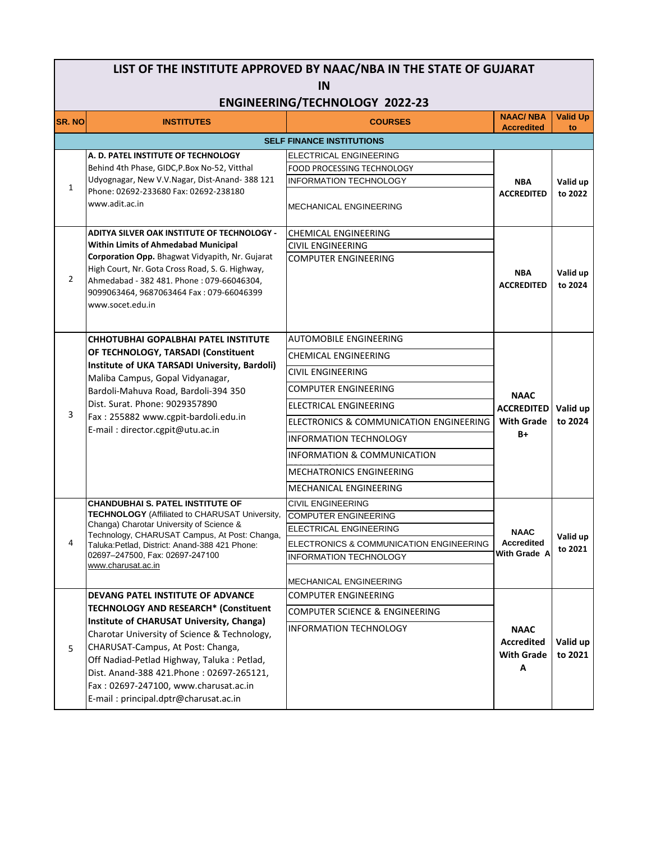#### **SR. NO INSTITUTES COURSES NAAC/ NBA Accredited Valid Up to LIST OF THE INSTITUTE APPROVED BY NAAC/NBA IN THE STATE OF GUJARAT IN ENGINEERING/TECHNOLOGY 2022-23** ELECTRICAL ENGINEERING FOOD PROCESSING TECHNOLOGY INFORMATION TECHNOLOGY MECHANICAL ENGINEERING CHEMICAL ENGINEERING CIVIL ENGINEERING AUTOMOBILE ENGINEERING CHEMICAL ENGINEERING CIVIL ENGINEERING COMPUTER ENGINEERING ELECTRICAL ENGINEERING ELECTRONICS & COMMUNICATION ENGINEERING INFORMATION TECHNOLOGY INFORMATION & COMMUNICATION **MECHATRONICS ENGINEERING** MECHANICAL ENGINEERING CIVIL ENGINEERING COMPUTER ENGINEERING ELECTRICAL ENGINEERING ELECTRONICS & COMMUNICATION ENGINEERING INFORMATION TECHNOLOGY MECHANICAL ENGINEERING COMPUTER ENGINEERING COMPUTER SCIENCE & ENGINEERING INFORMATION TECHNOLOGY COMPUTER ENGINEERING  $\overline{2}$ **ADITYA SILVER OAK INSTITUTE OF TECHNOLOGY - Within Limits of Ahmedabad Municipal Corporation Opp.** Bhagwat Vidyapith, Nr. Gujarat High Court, Nr. Gota Cross Road, S. G. Highway, Ahmedabad - 382 481. Phone : 079-66046304, 9099063464, 9687063464 Fax : 079-66046399 www.socet.edu.in **NBA ACCREDITED Valid up to 2024 NAAC ACCREDITED With Grade B+ Valid up to 2024 SELF FINANCE INSTITUTIONS NAAC Accredited With Grade A Valid up to 2021** 3 **CHHOTUBHAI GOPALBHAI PATEL INSTITUTE OF TECHNOLOGY, TARSADI (Constituent Institute of UKA TARSADI University, Bardoli)**  Maliba Campus, Gopal Vidyanagar, Bardoli-Mahuva Road, Bardoli-394 350 Dist. Surat. Phone: 9029357890 Fax : 255882 www.cgpit-bardoli.edu.in E-mail : director.cgpit@utu.ac.in **NBA ACCREDITED Valid up to 2022** 5 **Valid up to 2021** 1 **DEVANG PATEL INSTITUTE OF ADVANCE TECHNOLOGY AND RESEARCH\* (Constituent Institute of CHARUSAT University, Changa)**  Charotar University of Science & Technology, CHARUSAT-Campus, At Post: Changa, Off Nadiad-Petlad Highway, Taluka : Petlad, Dist. Anand-388 421.Phone : 02697-265121, Fax : 02697-247100, www.charusat.ac.in **A. D. PATEL INSTITUTE OF TECHNOLOGY**  Behind 4th Phase, GIDC,P.Box No-52, Vitthal Udyognagar, New V.V.Nagar, Dist-Anand- 388 121 Phone: 02692-233680 Fax: 02692-238180 www.adit.ac.in 4 **CHANDUBHAI S. PATEL INSTITUTE OF TECHNOLOGY** (Affiliated to CHARUSAT University, Changa) Charotar University of Science & Technology, CHARUSAT Campus, At Post: Changa, Taluka:Petlad, District: Anand-388 421 Phone: 02697–247500, Fax: 02697-247100 www.charusat.ac.in **NAAC Accredited With Grade A**

E-mail : principal.dptr@charusat.ac.in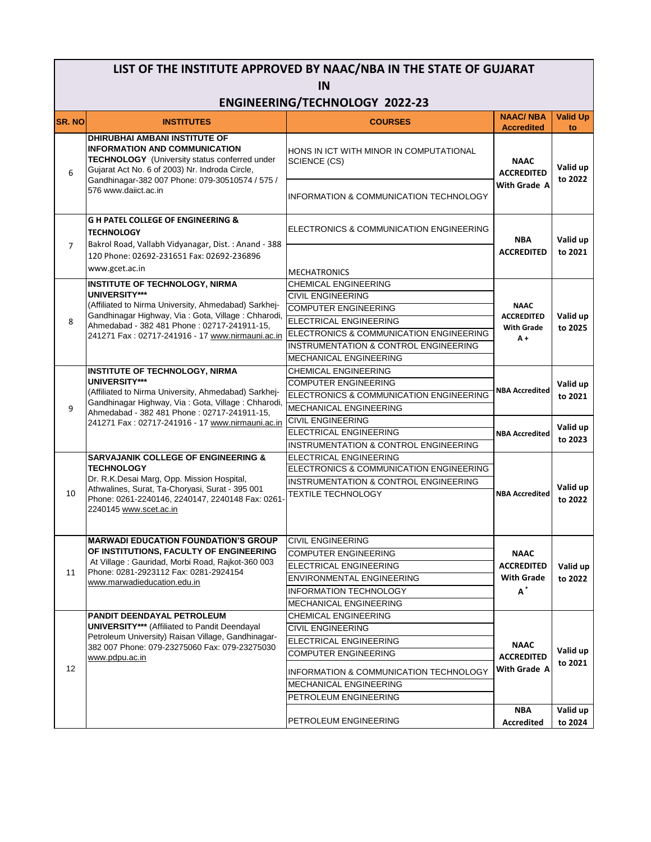# **LIST OF THE INSTITUTE APPROVED BY NAAC/NBA IN THE STATE OF GUJARAT IN**

### **ENGINEERING/TECHNOLOGY 2022-23**

| <b>SR. NO</b>  | <b>INSTITUTES</b>                                                                                                                                                                                                                                                 | <b>COURSES</b>                                          | <b>NAAC/NBA</b><br><b>Accredited</b>                           | <b>Valid Up</b><br>to |
|----------------|-------------------------------------------------------------------------------------------------------------------------------------------------------------------------------------------------------------------------------------------------------------------|---------------------------------------------------------|----------------------------------------------------------------|-----------------------|
| 6              | <b>DHIRUBHAI AMBANI INSTITUTE OF</b><br><b>INFORMATION AND COMMUNICATION</b><br><b>TECHNOLOGY</b> (University status conferred under<br>Gujarat Act No. 6 of 2003) Nr. Indroda Circle,<br>Gandhinagar-382 007 Phone: 079-30510574 / 575 /<br>576 www.daiict.ac.in | HONS IN ICT WITH MINOR IN COMPUTATIONAL<br>SCIENCE (CS) | <b>NAAC</b><br><b>ACCREDITED</b><br>With Grade A               | Valid up<br>to 2022   |
|                |                                                                                                                                                                                                                                                                   | INFORMATION & COMMUNICATION TECHNOLOGY                  |                                                                |                       |
| $\overline{7}$ | <b>G H PATEL COLLEGE OF ENGINEERING &amp;</b><br><b>TECHNOLOGY</b><br>Bakrol Road, Vallabh Vidyanagar, Dist.: Anand - 388<br>120 Phone: 02692-231651 Fax: 02692-236896<br>www.gcet.ac.in                                                                          | ELECTRONICS & COMMUNICATION ENGINEERING                 | <b>NBA</b><br><b>ACCREDITED</b>                                | Valid up<br>to 2021   |
|                |                                                                                                                                                                                                                                                                   | <b>MECHATRONICS</b>                                     |                                                                |                       |
|                | <b>INSTITUTE OF TECHNOLOGY, NIRMA</b><br><b>UNIVERSITY***</b>                                                                                                                                                                                                     | <b>CHEMICAL ENGINEERING</b>                             |                                                                |                       |
|                |                                                                                                                                                                                                                                                                   | <b>CIVIL ENGINEERING</b>                                |                                                                |                       |
|                | (Affiliated to Nirma University, Ahmedabad) Sarkhej-                                                                                                                                                                                                              | <b>COMPUTER ENGINEERING</b>                             | <b>NAAC</b>                                                    |                       |
| 8              | Gandhinagar Highway, Via: Gota, Village: Chharodi,<br>Ahmedabad - 382 481 Phone: 02717-241911-15,                                                                                                                                                                 | <b>ELECTRICAL ENGINEERING</b>                           | <b>ACCREDITED</b>                                              | Valid up              |
|                | 241271 Fax: 02717-241916 - 17 www.nirmauni.ac.in                                                                                                                                                                                                                  | ELECTRONICS & COMMUNICATION ENGINEERING                 | <b>With Grade</b><br>A+                                        | to 2025               |
|                |                                                                                                                                                                                                                                                                   | INSTRUMENTATION & CONTROL ENGINEERING                   |                                                                |                       |
|                |                                                                                                                                                                                                                                                                   | <b>MECHANICAL ENGINEERING</b>                           |                                                                |                       |
|                | INSTITUTE OF TECHNOLOGY, NIRMA                                                                                                                                                                                                                                    | <b>CHEMICAL ENGINEERING</b>                             | <b>NBA Accredited</b><br><b>NBA Accredited</b>                 | Valid up<br>to 2021   |
|                | UNIVERSITY***                                                                                                                                                                                                                                                     | <b>COMPUTER ENGINEERING</b>                             |                                                                |                       |
|                | (Affiliated to Nirma University, Ahmedabad) Sarkhej-                                                                                                                                                                                                              | ELECTRONICS & COMMUNICATION ENGINEERING                 |                                                                |                       |
| 9              | Gandhinagar Highway, Via: Gota, Village: Chharodi,<br>Ahmedabad - 382 481 Phone: 02717-241911-15,<br>241271 Fax: 02717-241916 - 17 www.nirmauni.ac.in                                                                                                             | <b>MECHANICAL ENGINEERING</b>                           |                                                                |                       |
|                |                                                                                                                                                                                                                                                                   | <b>CIVIL ENGINEERING</b>                                |                                                                | Valid up<br>to 2023   |
|                |                                                                                                                                                                                                                                                                   | ELECTRICAL ENGINEERING                                  |                                                                |                       |
|                |                                                                                                                                                                                                                                                                   | INSTRUMENTATION & CONTROL ENGINEERING                   |                                                                |                       |
|                | <b>SARVAJANIK COLLEGE OF ENGINEERING &amp;</b>                                                                                                                                                                                                                    | <b>ELECTRICAL ENGINEERING</b>                           |                                                                | Valid up<br>to 2022   |
|                | <b>TECHNOLOGY</b>                                                                                                                                                                                                                                                 | ELECTRONICS & COMMUNICATION ENGINEERING                 |                                                                |                       |
|                | Dr. R.K.Desai Marg, Opp. Mission Hospital,<br>Athwalines, Surat, Ta-Choryasi, Surat - 395 001                                                                                                                                                                     | INSTRUMENTATION & CONTROL ENGINEERING                   | <b>NBA Accredited</b>                                          |                       |
| 10             | Phone: 0261-2240146, 2240147, 2240148 Fax: 0261-<br>2240145 www.scet.ac.in                                                                                                                                                                                        | <b>TEXTILE TECHNOLOGY</b>                               |                                                                |                       |
|                | <b>MARWADI EDUCATION FOUNDATION'S GROUP</b><br>OF INSTITUTIONS, FACULTY OF ENGINEERING<br>At Village: Gauridad, Morbi Road, Rajkot-360 003<br>Phone: 0281-2923112 Fax: 0281-2924154<br>www.marwadieducation.edu.in                                                | <b>CIVIL ENGINEERING</b>                                | <b>NAAC</b><br><b>ACCREDITED</b><br><b>With Grade</b><br>$A^+$ | Valid up<br>to 2022   |
|                |                                                                                                                                                                                                                                                                   | <b>COMPUTER ENGINEERING</b>                             |                                                                |                       |
|                |                                                                                                                                                                                                                                                                   | ELECTRICAL ENGINEERING                                  |                                                                |                       |
| 11             |                                                                                                                                                                                                                                                                   | <b>ENVIRONMENTAL ENGINEERING</b>                        |                                                                |                       |
|                |                                                                                                                                                                                                                                                                   | <b>INFORMATION TECHNOLOGY</b>                           |                                                                |                       |
|                |                                                                                                                                                                                                                                                                   | <b>MECHANICAL ENGINEERING</b>                           |                                                                |                       |
|                | <b>PANDIT DEENDAYAL PETROLEUM</b><br><b>UNIVERSITY*** (Affiliated to Pandit Deendayal</b><br>Petroleum University) Raisan Village, Gandhinagar-<br>382 007 Phone: 079-23275060 Fax: 079-23275030<br>www.pdpu.ac.in                                                | <b>CHEMICAL ENGINEERING</b>                             | <b>NAAC</b><br><b>ACCREDITED</b><br>With Grade A               | Valid up<br>to 2021   |
|                |                                                                                                                                                                                                                                                                   | <b>CIVIL ENGINEERING</b>                                |                                                                |                       |
|                |                                                                                                                                                                                                                                                                   | ELECTRICAL ENGINEERING                                  |                                                                |                       |
| 12             |                                                                                                                                                                                                                                                                   | <b>COMPUTER ENGINEERING</b>                             |                                                                |                       |
|                |                                                                                                                                                                                                                                                                   | INFORMATION & COMMUNICATION TECHNOLOGY                  |                                                                |                       |
|                |                                                                                                                                                                                                                                                                   | MECHANICAL ENGINEERING                                  |                                                                |                       |
|                |                                                                                                                                                                                                                                                                   | PETROLEUM ENGINEERING                                   |                                                                |                       |
|                |                                                                                                                                                                                                                                                                   |                                                         | <b>NBA</b>                                                     | Valid up              |
|                |                                                                                                                                                                                                                                                                   | PETROLEUM ENGINEERING                                   | <b>Accredited</b>                                              | to 2024               |